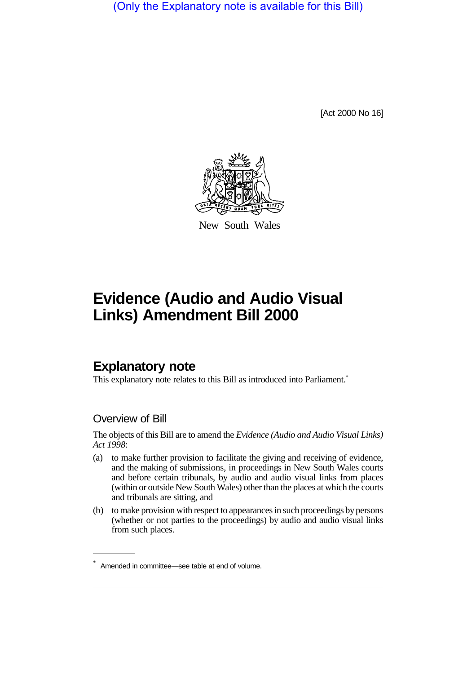(Only the Explanatory note is available for this Bill)

[Act 2000 No 16]



New South Wales

# **Evidence (Audio and Audio Visual Links) Amendment Bill 2000**

## **Explanatory note**

This explanatory note relates to this Bill as introduced into Parliament.<sup>\*</sup>

## Overview of Bill

The objects of this Bill are to amend the *Evidence (Audio and Audio Visual Links) Act 1998*:

- (a) to make further provision to facilitate the giving and receiving of evidence, and the making of submissions, in proceedings in New South Wales courts and before certain tribunals, by audio and audio visual links from places (within or outside New South Wales) other than the places at which the courts and tribunals are sitting, and
- (b) to make provision with respect to appearances in such proceedings by persons (whether or not parties to the proceedings) by audio and audio visual links from such places.

<sup>\*</sup> Amended in committee—see table at end of volume.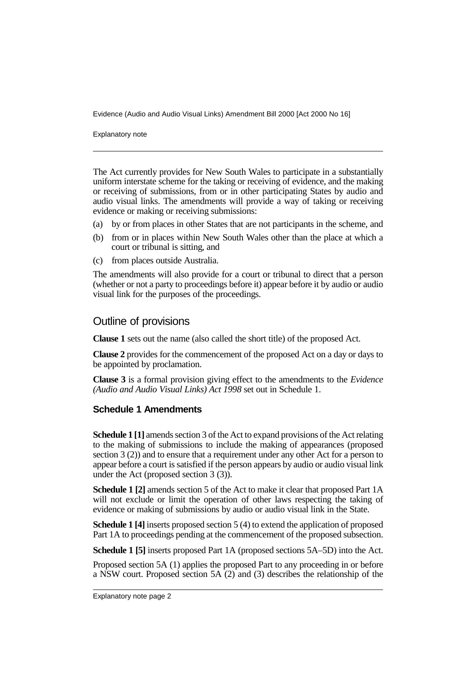Evidence (Audio and Audio Visual Links) Amendment Bill 2000 [Act 2000 No 16]

Explanatory note

The Act currently provides for New South Wales to participate in a substantially uniform interstate scheme for the taking or receiving of evidence, and the making or receiving of submissions, from or in other participating States by audio and audio visual links. The amendments will provide a way of taking or receiving evidence or making or receiving submissions:

- (a) by or from places in other States that are not participants in the scheme, and
- (b) from or in places within New South Wales other than the place at which a court or tribunal is sitting, and
- (c) from places outside Australia.

The amendments will also provide for a court or tribunal to direct that a person (whether or not a party to proceedings before it) appear before it by audio or audio visual link for the purposes of the proceedings.

### Outline of provisions

**Clause 1** sets out the name (also called the short title) of the proposed Act.

**Clause 2** provides for the commencement of the proposed Act on a day or days to be appointed by proclamation.

**Clause 3** is a formal provision giving effect to the amendments to the *Evidence (Audio and Audio Visual Links) Act 1998* set out in Schedule 1.

#### **Schedule 1 Amendments**

**Schedule 1 [1]** amends section 3 of the Act to expand provisions of the Act relating to the making of submissions to include the making of appearances (proposed section 3 (2)) and to ensure that a requirement under any other Act for a person to appear before a court is satisfied if the person appears by audio or audio visual link under the Act (proposed section 3 (3)).

**Schedule 1 [2]** amends section 5 of the Act to make it clear that proposed Part 1A will not exclude or limit the operation of other laws respecting the taking of evidence or making of submissions by audio or audio visual link in the State.

**Schedule 1 [4]** inserts proposed section 5 (4) to extend the application of proposed Part 1A to proceedings pending at the commencement of the proposed subsection.

**Schedule 1 [5]** inserts proposed Part 1A (proposed sections 5A–5D) into the Act.

Proposed section 5A (1) applies the proposed Part to any proceeding in or before a NSW court. Proposed section 5A (2) and (3) describes the relationship of the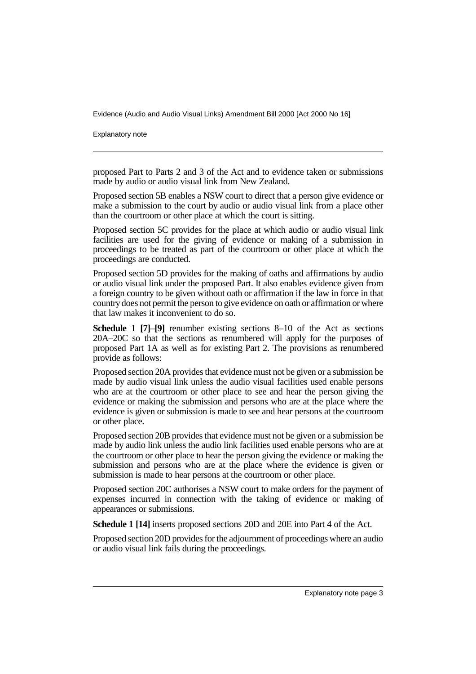Evidence (Audio and Audio Visual Links) Amendment Bill 2000 [Act 2000 No 16]

Explanatory note

proposed Part to Parts 2 and 3 of the Act and to evidence taken or submissions made by audio or audio visual link from New Zealand.

Proposed section 5B enables a NSW court to direct that a person give evidence or make a submission to the court by audio or audio visual link from a place other than the courtroom or other place at which the court is sitting.

Proposed section 5C provides for the place at which audio or audio visual link facilities are used for the giving of evidence or making of a submission in proceedings to be treated as part of the courtroom or other place at which the proceedings are conducted.

Proposed section 5D provides for the making of oaths and affirmations by audio or audio visual link under the proposed Part. It also enables evidence given from a foreign country to be given without oath or affirmation if the law in force in that country does not permit the person to give evidence on oath or affirmation or where that law makes it inconvenient to do so.

**Schedule 1 [7]**–**[9]** renumber existing sections 8–10 of the Act as sections 20A–20C so that the sections as renumbered will apply for the purposes of proposed Part 1A as well as for existing Part 2. The provisions as renumbered provide as follows:

Proposed section 20A provides that evidence must not be given or a submission be made by audio visual link unless the audio visual facilities used enable persons who are at the courtroom or other place to see and hear the person giving the evidence or making the submission and persons who are at the place where the evidence is given or submission is made to see and hear persons at the courtroom or other place.

Proposed section 20B provides that evidence must not be given or a submission be made by audio link unless the audio link facilities used enable persons who are at the courtroom or other place to hear the person giving the evidence or making the submission and persons who are at the place where the evidence is given or submission is made to hear persons at the courtroom or other place.

Proposed section 20C authorises a NSW court to make orders for the payment of expenses incurred in connection with the taking of evidence or making of appearances or submissions.

**Schedule 1 [14]** inserts proposed sections 20D and 20E into Part 4 of the Act.

Proposed section 20D provides for the adjournment of proceedings where an audio or audio visual link fails during the proceedings.